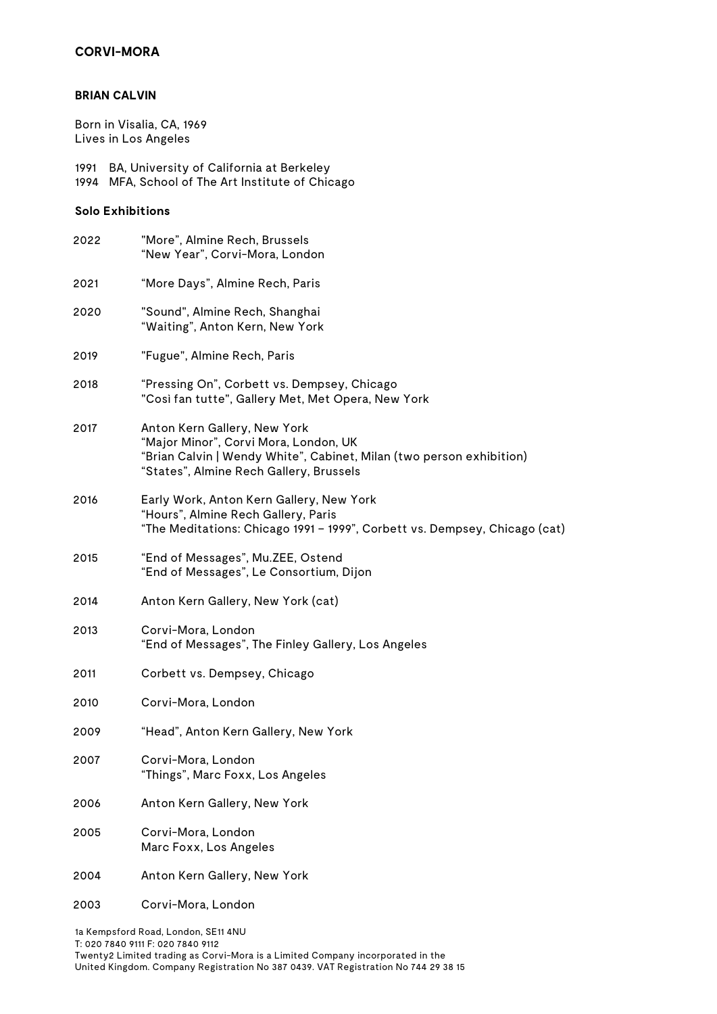# **CORVI-MORA**

#### **BRIAN CALVIN**

Born in Visalia, CA, 1969 Lives in Los Angeles

1991 BA, University of California at Berkeley 1994 MFA, School of The Art Institute of Chicago

## **Solo Exhibitions**

| 2022 | "More", Almine Rech, Brussels<br>"New Year", Corvi-Mora, London                                                                                                                          |
|------|------------------------------------------------------------------------------------------------------------------------------------------------------------------------------------------|
| 2021 | "More Days", Almine Rech, Paris                                                                                                                                                          |
| 2020 | "Sound", Almine Rech, Shanghai<br>"Waiting", Anton Kern, New York                                                                                                                        |
| 2019 | "Fugue", Almine Rech, Paris                                                                                                                                                              |
| 2018 | "Pressing On", Corbett vs. Dempsey, Chicago<br>"Così fan tutte", Gallery Met, Met Opera, New York                                                                                        |
| 2017 | Anton Kern Gallery, New York<br>"Major Minor", Corvi Mora, London, UK<br>"Brian Calvin   Wendy White", Cabinet, Milan (two person exhibition)<br>"States", Almine Rech Gallery, Brussels |
| 2016 | Early Work, Anton Kern Gallery, New York<br>"Hours", Almine Rech Gallery, Paris<br>"The Meditations: Chicago 1991 - 1999", Corbett vs. Dempsey, Chicago (cat)                            |
| 2015 | "End of Messages", Mu.ZEE, Ostend<br>"End of Messages", Le Consortium, Dijon                                                                                                             |
| 2014 | Anton Kern Gallery, New York (cat)                                                                                                                                                       |
| 2013 | Corvi-Mora, London<br>"End of Messages", The Finley Gallery, Los Angeles                                                                                                                 |
| 2011 | Corbett vs. Dempsey, Chicago                                                                                                                                                             |
| 2010 | Corvi-Mora, London                                                                                                                                                                       |
| 2009 | "Head", Anton Kern Gallery, New York                                                                                                                                                     |
| 2007 | Corvi-Mora, London<br>"Things", Marc Foxx, Los Angeles                                                                                                                                   |
| 2006 | Anton Kern Gallery, New York                                                                                                                                                             |
| 2005 | Corvi-Mora, London<br>Marc Foxx, Los Angeles                                                                                                                                             |
| 2004 | Anton Kern Gallery, New York                                                                                                                                                             |
| 2003 | Corvi-Mora, London                                                                                                                                                                       |
|      |                                                                                                                                                                                          |

1a Kempsford Road, London, SE11 4NU

T: 020 7840 9111 F: 020 7840 9112

Twenty2 Limited trading as Corvi-Mora is a Limited Company incorporated in the United Kingdom. Company Registration No 387 0439. VAT Registration No 744 29 38 15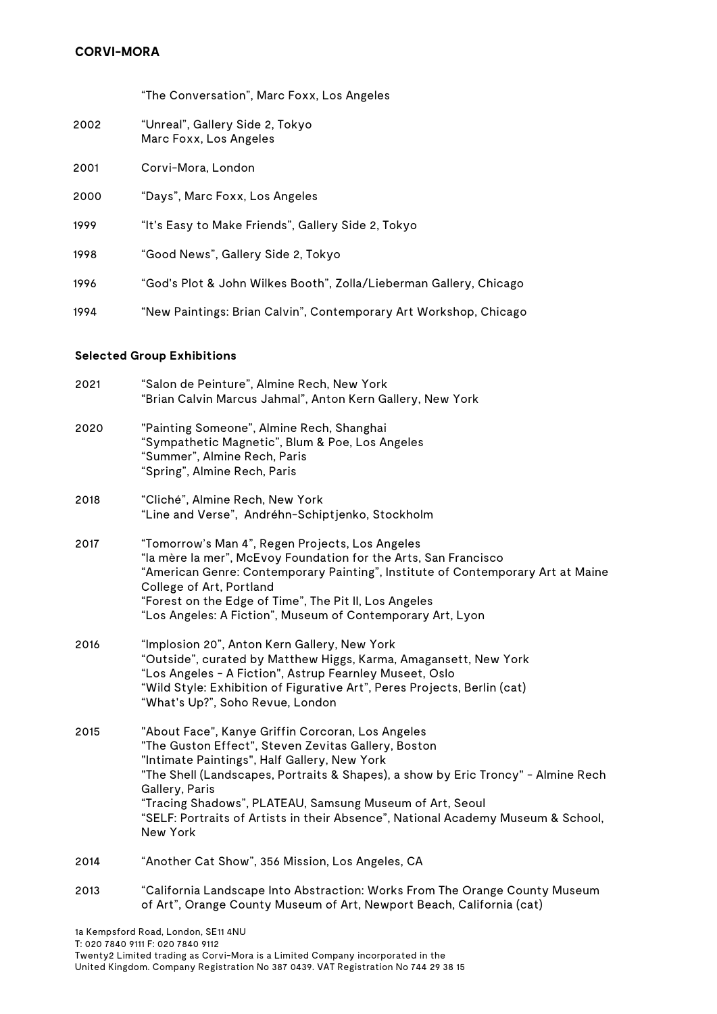"The Conversation", Marc Foxx, Los Angeles

- 2002 "Unreal", Gallery Side 2, Tokyo Marc Foxx, Los Angeles
- 2001 Corvi-Mora, London
- 2000 "Days", Marc Foxx, Los Angeles
- 1999 "It's Easy to Make Friends", Gallery Side 2, Tokyo
- 1998 "Good News", Gallery Side 2, Tokyo
- 1996 "God's Plot & John Wilkes Booth", Zolla/Lieberman Gallery, Chicago
- 1994 "New Paintings: Brian Calvin", Contemporary Art Workshop, Chicago

# **Selected Group Exhibitions**

| 2021 | "Salon de Peinture", Almine Rech, New York<br>"Brian Calvin Marcus Jahmal", Anton Kern Gallery, New York                                                                                                                                                                                                                                                                                                                    |
|------|-----------------------------------------------------------------------------------------------------------------------------------------------------------------------------------------------------------------------------------------------------------------------------------------------------------------------------------------------------------------------------------------------------------------------------|
| 2020 | "Painting Someone", Almine Rech, Shanghai<br>"Sympathetic Magnetic", Blum & Poe, Los Angeles<br>"Summer", Almine Rech, Paris<br>"Spring", Almine Rech, Paris                                                                                                                                                                                                                                                                |
| 2018 | "Cliché", Almine Rech, New York<br>"Line and Verse", Andréhn-Schiptjenko, Stockholm                                                                                                                                                                                                                                                                                                                                         |
| 2017 | "Tomorrow's Man 4", Regen Projects, Los Angeles<br>"la mère la mer", McEvoy Foundation for the Arts, San Francisco<br>"American Genre: Contemporary Painting", Institute of Contemporary Art at Maine<br>College of Art, Portland<br>"Forest on the Edge of Time", The Pit II, Los Angeles<br>"Los Angeles: A Fiction", Museum of Contemporary Art, Lyon                                                                    |
| 2016 | "Implosion 20", Anton Kern Gallery, New York<br>"Outside", curated by Matthew Higgs, Karma, Amagansett, New York<br>"Los Angeles - A Fiction", Astrup Fearnley Museet, Oslo<br>"Wild Style: Exhibition of Figurative Art", Peres Projects, Berlin (cat)<br>"What's Up?", Soho Revue, London                                                                                                                                 |
| 2015 | "About Face", Kanye Griffin Corcoran, Los Angeles<br>"The Guston Effect", Steven Zevitas Gallery, Boston<br>"Intimate Paintings", Half Gallery, New York<br>"The Shell (Landscapes, Portraits & Shapes), a show by Eric Troncy" - Almine Rech<br>Gallery, Paris<br>"Tracing Shadows", PLATEAU, Samsung Museum of Art, Seoul<br>"SELF: Portraits of Artists in their Absence", National Academy Museum & School,<br>New York |
| 2014 | "Another Cat Show", 356 Mission, Los Angeles, CA                                                                                                                                                                                                                                                                                                                                                                            |
| 2013 | "California Landscape Into Abstraction: Works From The Orange County Museum<br>of Art", Orange County Museum of Art, Newport Beach, California (cat)                                                                                                                                                                                                                                                                        |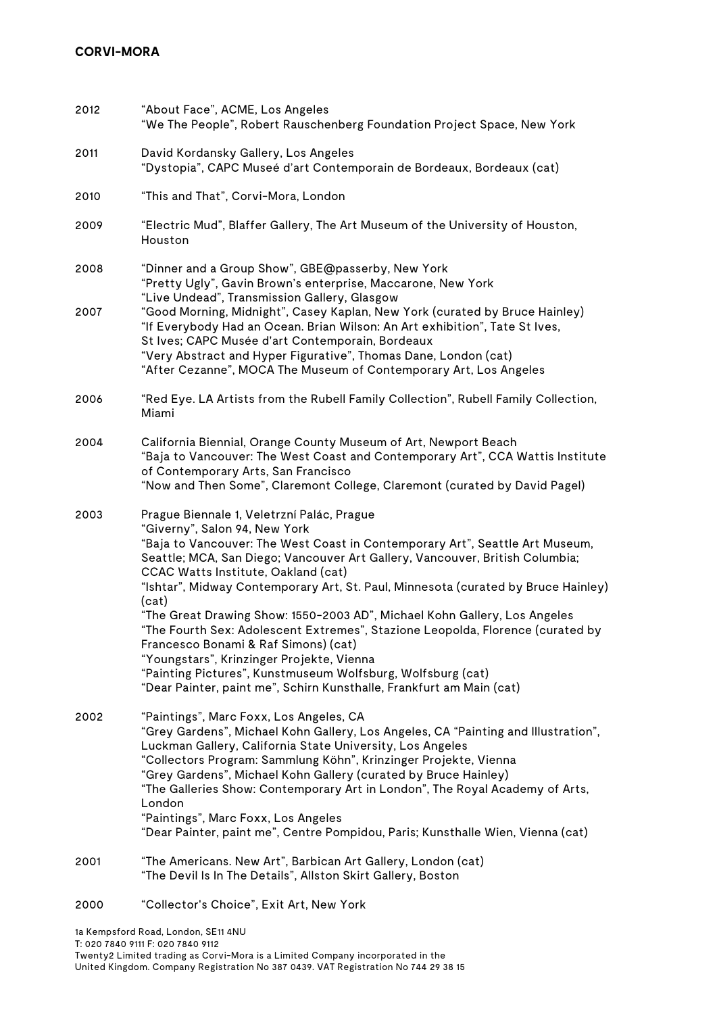| 2012         | "About Face", ACME, Los Angeles<br>"We The People", Robert Rauschenberg Foundation Project Space, New York                                                                                                                                                                                                                                                                                                                                                                                                                                                                                                                                                                                                                                                                  |
|--------------|-----------------------------------------------------------------------------------------------------------------------------------------------------------------------------------------------------------------------------------------------------------------------------------------------------------------------------------------------------------------------------------------------------------------------------------------------------------------------------------------------------------------------------------------------------------------------------------------------------------------------------------------------------------------------------------------------------------------------------------------------------------------------------|
| 2011         | David Kordansky Gallery, Los Angeles<br>"Dystopia", CAPC Museé d'art Contemporain de Bordeaux, Bordeaux (cat)                                                                                                                                                                                                                                                                                                                                                                                                                                                                                                                                                                                                                                                               |
| 2010         | "This and That", Corvi-Mora, London                                                                                                                                                                                                                                                                                                                                                                                                                                                                                                                                                                                                                                                                                                                                         |
| 2009         | "Electric Mud", Blaffer Gallery, The Art Museum of the University of Houston,<br>Houston                                                                                                                                                                                                                                                                                                                                                                                                                                                                                                                                                                                                                                                                                    |
| 2008<br>2007 | "Dinner and a Group Show", GBE@passerby, New York<br>"Pretty Ugly", Gavin Brown's enterprise, Maccarone, New York<br>"Live Undead", Transmission Gallery, Glasgow<br>"Good Morning, Midnight", Casey Kaplan, New York (curated by Bruce Hainley)<br>"If Everybody Had an Ocean. Brian Wilson: An Art exhibition", Tate St Ives,<br>St Ives; CAPC Musée d'art Contemporain, Bordeaux<br>"Very Abstract and Hyper Figurative", Thomas Dane, London (cat)<br>"After Cezanne", MOCA The Museum of Contemporary Art, Los Angeles                                                                                                                                                                                                                                                 |
| 2006         | "Red Eye. LA Artists from the Rubell Family Collection", Rubell Family Collection,<br>Miami                                                                                                                                                                                                                                                                                                                                                                                                                                                                                                                                                                                                                                                                                 |
| 2004         | California Biennial, Orange County Museum of Art, Newport Beach<br>"Baja to Vancouver: The West Coast and Contemporary Art", CCA Wattis Institute<br>of Contemporary Arts, San Francisco<br>"Now and Then Some", Claremont College, Claremont (curated by David Pagel)                                                                                                                                                                                                                                                                                                                                                                                                                                                                                                      |
| 2003         | Prague Biennale 1, Veletrzní Palác, Prague<br>"Giverny", Salon 94, New York<br>"Baja to Vancouver: The West Coast in Contemporary Art", Seattle Art Museum,<br>Seattle; MCA, San Diego; Vancouver Art Gallery, Vancouver, British Columbia;<br>CCAC Watts Institute, Oakland (cat)<br>"Ishtar", Midway Contemporary Art, St. Paul, Minnesota (curated by Bruce Hainley)<br>(cat)<br>"The Great Drawing Show: 1550-2003 AD", Michael Kohn Gallery, Los Angeles<br>"The Fourth Sex: Adolescent Extremes", Stazione Leopolda, Florence (curated by<br>Francesco Bonami & Raf Simons) (cat)<br>"Youngstars", Krinzinger Projekte, Vienna<br>"Painting Pictures", Kunstmuseum Wolfsburg, Wolfsburg (cat)<br>"Dear Painter, paint me", Schirn Kunsthalle, Frankfurt am Main (cat) |
| 2002         | "Paintings", Marc Foxx, Los Angeles, CA<br>"Grey Gardens", Michael Kohn Gallery, Los Angeles, CA "Painting and Illustration",<br>Luckman Gallery, California State University, Los Angeles<br>"Collectors Program: Sammlung Köhn", Krinzinger Projekte, Vienna<br>"Grey Gardens", Michael Kohn Gallery (curated by Bruce Hainley)<br>"The Galleries Show: Contemporary Art in London", The Royal Academy of Arts,<br>London<br>"Paintings", Marc Foxx, Los Angeles<br>"Dear Painter, paint me", Centre Pompidou, Paris; Kunsthalle Wien, Vienna (cat)                                                                                                                                                                                                                       |
| 2001         | "The Americans. New Art", Barbican Art Gallery, London (cat)<br>"The Devil Is In The Details", Allston Skirt Gallery, Boston                                                                                                                                                                                                                                                                                                                                                                                                                                                                                                                                                                                                                                                |
| 2000         | "Collector's Choice", Exit Art, New York                                                                                                                                                                                                                                                                                                                                                                                                                                                                                                                                                                                                                                                                                                                                    |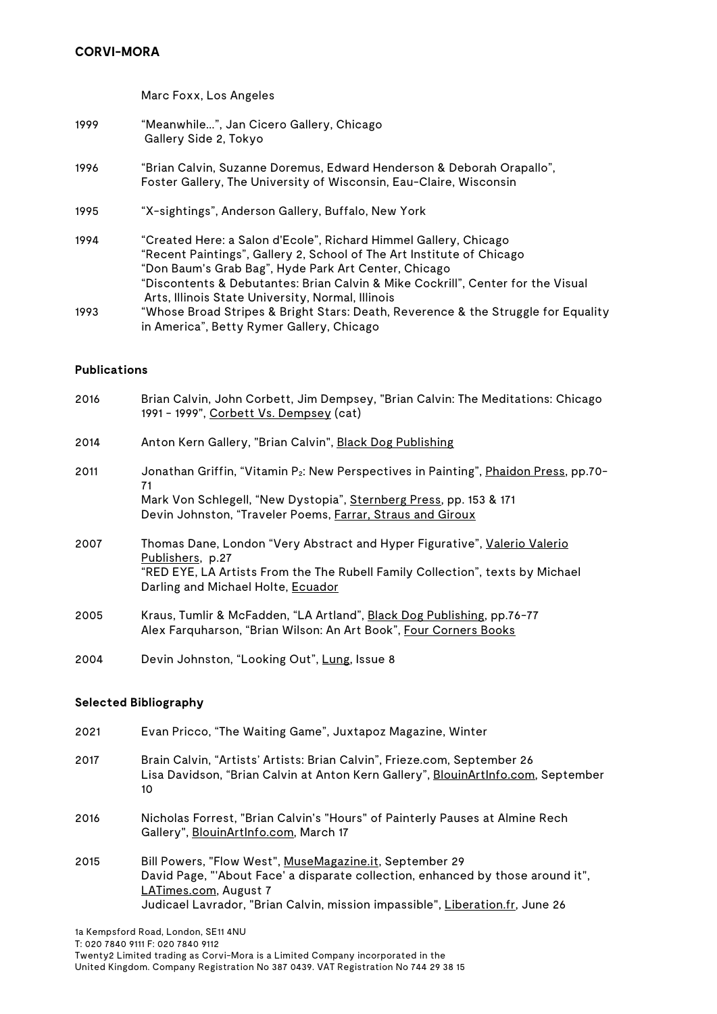Marc Foxx, Los Angeles

- 1999 "Meanwhile...", Jan Cicero Gallery, Chicago Gallery Side 2, Tokyo
- 1996 "Brian Calvin, Suzanne Doremus, Edward Henderson & Deborah Orapallo", Foster Gallery, The University of Wisconsin, Eau-Claire, Wisconsin
- 1995 "X-sightings", Anderson Gallery, Buffalo, New York
- 1994 "Created Here: a Salon d'Ecole", Richard Himmel Gallery, Chicago "Recent Paintings", Gallery 2, School of The Art Institute of Chicago "Don Baum's Grab Bag", Hyde Park Art Center, Chicago "Discontents & Debutantes: Brian Calvin & Mike Cockrill", Center for the Visual Arts, Illinois State University, Normal, Illinois 1993 "Whose Broad Stripes & Bright Stars: Death, Reverence & the Struggle for Equality in America", Betty Rymer Gallery, Chicago

#### **Publications**

| 2016 | Brian Calvin, John Corbett, Jim Dempsey, "Brian Calvin: The Meditations: Chicago<br>1991 - 1999", Corbett Vs. Dempsey (cat)                                                                                                                |
|------|--------------------------------------------------------------------------------------------------------------------------------------------------------------------------------------------------------------------------------------------|
| 2014 | Anton Kern Gallery, "Brian Calvin", Black Dog Publishing                                                                                                                                                                                   |
| 2011 | Jonathan Griffin, "Vitamin P <sub>2</sub> : New Perspectives in Painting", Phaidon Press, pp.70-<br>71<br>Mark Von Schlegell, "New Dystopia", Sternberg Press, pp. 153 & 171<br>Devin Johnston, "Traveler Poems, Farrar, Straus and Giroux |
| 2007 | Thomas Dane, London "Very Abstract and Hyper Figurative", Valerio Valerio<br>Publishers, p.27<br>"RED EYE, LA Artists From the The Rubell Family Collection", texts by Michael<br>Darling and Michael Holte, Ecuador                       |
| 2005 | Kraus, Tumlir & McFadden, "LA Artland", Black Dog Publishing, pp.76-77<br>Alex Farquharson, "Brian Wilson: An Art Book", Four Corners Books                                                                                                |
|      |                                                                                                                                                                                                                                            |

2004 Devin Johnston, "Looking Out", Lung, Issue 8

### **Selected Bibliography**

| 2021 | Evan Pricco, "The Waiting Game", Juxtapoz Magazine, Winter                                                                                                                                                                                           |
|------|------------------------------------------------------------------------------------------------------------------------------------------------------------------------------------------------------------------------------------------------------|
| 2017 | Brain Calvin, "Artists' Artists: Brian Calvin", Frieze.com, September 26<br>Lisa Davidson, "Brian Calvin at Anton Kern Gallery", BlouinArtInfo.com, September<br>10                                                                                  |
| 2016 | Nicholas Forrest, "Brian Calvin's "Hours" of Painterly Pauses at Almine Rech<br>Gallery", BlouinArtInfo.com, March 17                                                                                                                                |
| 2015 | Bill Powers, "Flow West", MuseMagazine.it, September 29<br>David Page, "'About Face' a disparate collection, enhanced by those around it",<br>LATimes.com, August 7<br>Judicael Lavrador, "Brian Calvin, mission impassible", Liberation.fr, June 26 |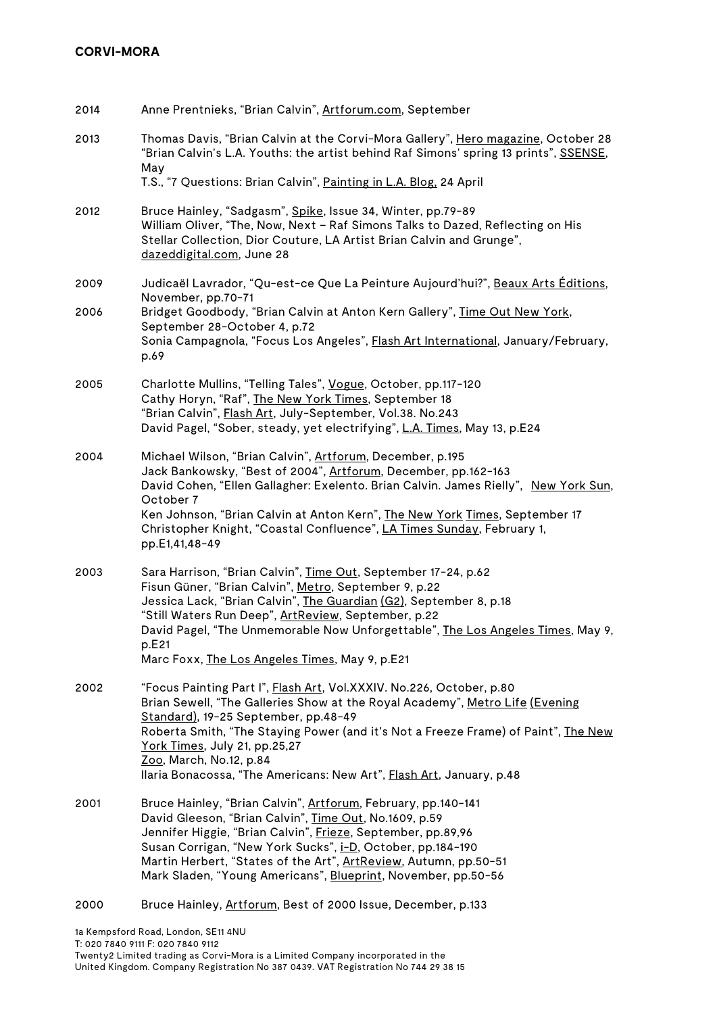| 2014 | Anne Prentnieks, "Brian Calvin", Artforum.com, September                                                                                                                                                                                                                                                                                                                                                               |
|------|------------------------------------------------------------------------------------------------------------------------------------------------------------------------------------------------------------------------------------------------------------------------------------------------------------------------------------------------------------------------------------------------------------------------|
| 2013 | Thomas Davis, "Brian Calvin at the Corvi-Mora Gallery", Hero magazine, October 28<br>"Brian Calvin's L.A. Youths: the artist behind Raf Simons' spring 13 prints", SSENSE,<br>May                                                                                                                                                                                                                                      |
|      | T.S., "7 Questions: Brian Calvin", Painting in L.A. Blog. 24 April                                                                                                                                                                                                                                                                                                                                                     |
| 2012 | Bruce Hainley, "Sadgasm", Spike, Issue 34, Winter, pp.79-89<br>William Oliver, "The, Now, Next - Raf Simons Talks to Dazed, Reflecting on His<br>Stellar Collection, Dior Couture, LA Artist Brian Calvin and Grunge",<br>dazeddigital.com, June 28                                                                                                                                                                    |
| 2009 | Judicaël Lavrador, "Qu-est-ce Que La Peinture Aujourd'hui?", Beaux Arts Éditions,<br>November, pp.70-71                                                                                                                                                                                                                                                                                                                |
| 2006 | Bridget Goodbody, "Brian Calvin at Anton Kern Gallery", Time Out New York,<br>September 28-October 4, p.72<br>Sonia Campagnola, "Focus Los Angeles", <b>Flash Art International</b> , January/February,<br>p.69                                                                                                                                                                                                        |
| 2005 | Charlotte Mullins, "Telling Tales", Vogue, October, pp.117-120<br>Cathy Horyn, "Raf", The New York Times, September 18<br>"Brian Calvin", Flash Art, July-September, Vol.38. No.243<br>David Pagel, "Sober, steady, yet electrifying", L.A. Times, May 13, p.E24                                                                                                                                                       |
| 2004 | Michael Wilson, "Brian Calvin", Artforum, December, p.195<br>Jack Bankowsky, "Best of 2004", Artforum, December, pp.162-163<br>David Cohen, "Ellen Gallagher: Exelento. Brian Calvin. James Rielly", New York Sun,<br>October 7<br>Ken Johnson, "Brian Calvin at Anton Kern", The New York Times, September 17<br>Christopher Knight, "Coastal Confluence", LA Times Sunday, February 1,<br>pp.E1,41,48-49             |
| 2003 | Sara Harrison, "Brian Calvin", Time Out, September 17-24, p.62<br>Fisun Güner, "Brian Calvin", Metro, September 9, p.22<br>Jessica Lack, "Brian Calvin", The Guardian (G2), September 8, p.18<br>"Still Waters Run Deep", ArtReview, September, p.22<br>David Pagel, "The Unmemorable Now Unforgettable", The Los Angeles Times, May 9,<br>p.E21<br>Marc Foxx, The Los Angeles Times, May 9, p.E21                     |
| 2002 | "Focus Painting Part I", Flash Art, Vol.XXXIV. No.226, October, p.80<br>Brian Sewell, "The Galleries Show at the Royal Academy", Metro Life (Evening<br>Standard), 19-25 September, pp.48-49<br>Roberta Smith, "The Staying Power (and it's Not a Freeze Frame) of Paint", The New<br>York Times, July 21, pp.25,27<br>Zoo, March, No.12, p.84<br>Ilaria Bonacossa, "The Americans: New Art", Flash Art, January, p.48 |
| 2001 | Bruce Hainley, "Brian Calvin", Artforum, February, pp.140-141<br>David Gleeson, "Brian Calvin", Time Out, No.1609, p.59<br>Jennifer Higgie, "Brian Calvin", Frieze, September, pp.89,96<br>Susan Corrigan, "New York Sucks", i-D, October, pp.184-190<br>Martin Herbert, "States of the Art", ArtReview, Autumn, pp.50-51<br>Mark Sladen, "Young Americans", Blueprint, November, pp.50-56                             |
| 2000 | Bruce Hainley, Artforum, Best of 2000 Issue, December, p.133                                                                                                                                                                                                                                                                                                                                                           |